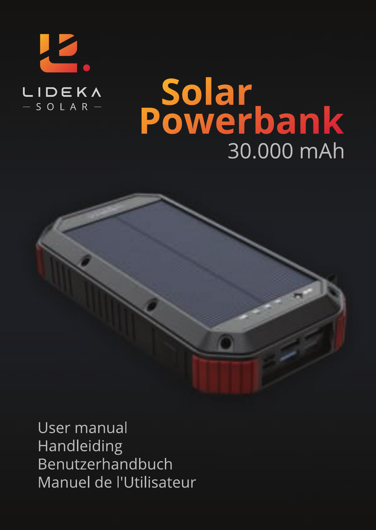

# Solar<br>Powerbank 30.000 mAh



User manual Handleiding Benutzerhandbuch Manuel de l'Utilisateur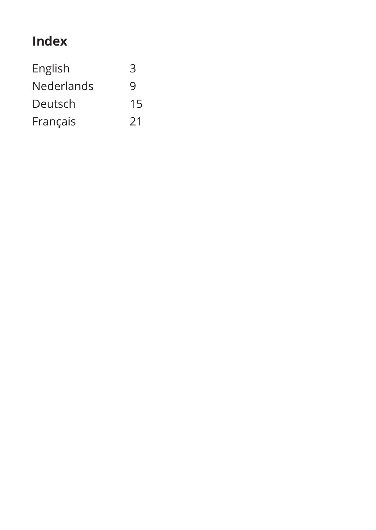### **Index**

| 3  |
|----|
| 9  |
| 15 |
| 21 |
|    |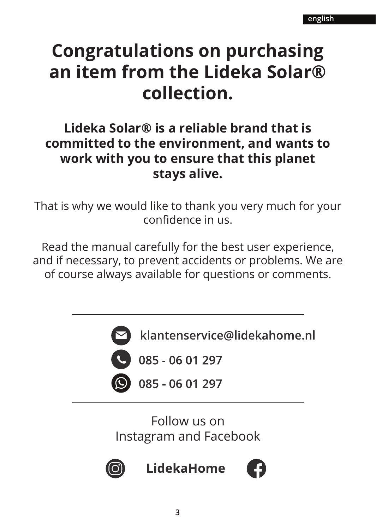### **Congratulations on purchasing an item from the Lideka Solar® collection.**

### **Lideka Solar® is a reliable brand that is committed to the environment, and wants to work with you to ensure that this planet stays alive.**

That is why we would like to thank you very much for your<br>confidence in us.

Read the manual carefully for the best user experience, and if necessary, to prevent accidents or problems. We are of course always available for questions or comments.



klantenservice@lidekahome.nl

 $085 - 0601297$ 

085 - 06 01 297

Follow us on Instagram and Facebook



LidekaHome

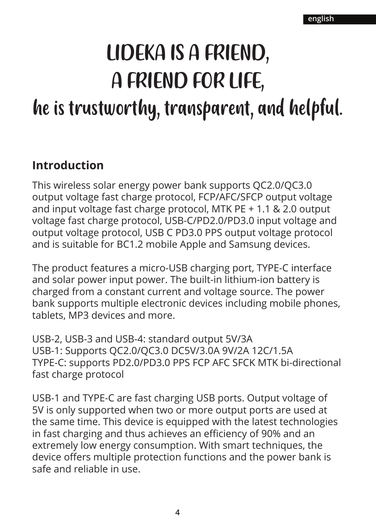# LIDEKA IS A FRIEND, A FRIEND FOR LIFE, he is trustworthy, transparent, and helpful.

### **Introduction**

This wireless solar energy power bank supports QC2.0/QC3.0 output voltage fast charge protocol, FCP/AFC/SFCP output voltage and input voltage fast charge protocol, MTK PE + 1.1 & 2.0 output voltage fast charge protocol, USB-C/PD2.0/PD3.0 input voltage and output voltage protocol, USB C PD3.0 PPS output voltage protocol and is suitable for BC1.2 mobile Apple and Samsung devices.

The product features a micro-USB charging port, TYPE-C interface and solar power input power. The built-in lithium-ion battery is charged from a constant current and voltage source. The power bank supports multiple electronic devices including mobile phones, tablets, MP3 devices and more.

USB-2, USB-3 and USB-4: standard output 5V/3A USB-1: Supports QC2.0/QC3.0 DC5V/3.0A 9V/2A 12C/1.5A TYPE-C: supports PD2.0/PD3.0 PPS FCP AFC SFCK MTK bi-directional fast charge protocol

USB-1 and TYPE-C are fast charging USB ports. Output voltage of 5V is only supported when two or more output ports are used at the same time. This device is equipped with the latest technologies in fast charging and thus achieves an efficiency of 90% and an extremely low energy consumption. With smart techniques, the device offers multiple protection functions and the power bank is safe and reliable in use.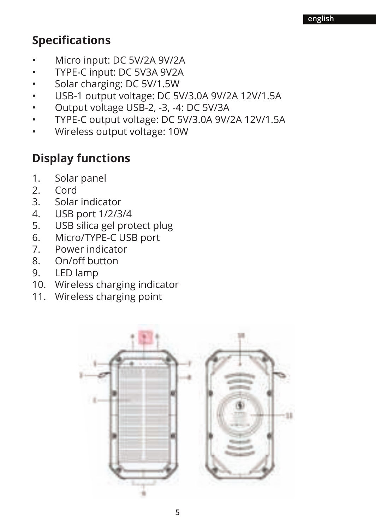### **Specifications**

- Micro input: DC 5V/2A 9V/2A
- TYPE-C input: DC 5V3A 9V2A
- Solar charging: DC 5V/1.5W
- USB-1 output voltage: DC 5V/3.0A 9V/2A 12V/1.5A
- Output voltage USB-2, -3, -4: DC 5V/3A
- TYPE-C output voltage: DC 5V/3.0A 9V/2A 12V/1.5A
- Wireless output voltage: 10W

### **Display functions**

- 1. Solar panel
- 2. Cord<br>3. Solar
- 3. Solar indicator<br>4. USB port 1/2/3
- 4. USB port 1/2/3/4<br>5. USB silica gel pro
- USB silica gel protect plug
- 6. Micro/TYPE-C USB port<br>7 Power indicator
- 7. Power indicator
- 8. On/off button
- 9. LED lamp
- 10. Wireless charging indicator
- 11. Wireless charging point

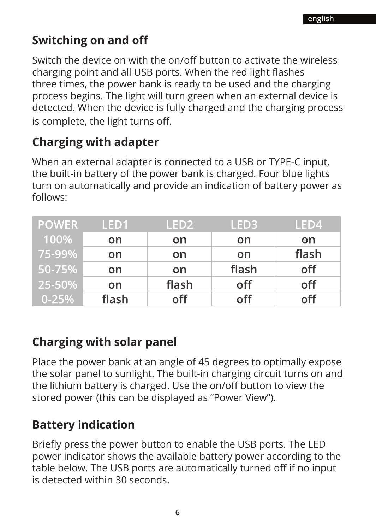### **Switching on and off**

Switch the device on with the on/off button to activate the wireless charging point and all USB ports. When the red light flashes three times, the power bank is ready to be used and the charging process begins. The light will turn green when an external device is detected. When the device is fully charged and the charging process is complete, the light turns off.

### **Charging with adapter**

When an external adapter is connected to a USB or TYPE-C input, the built-in battery of the power bank is charged. Four blue lights turn on automatically and provide an indication of battery power as follows:

| <b>POWER</b> | LED <sub>1</sub> | LED <sub>2</sub> | LED3  | LED4  |
|--------------|------------------|------------------|-------|-------|
| 100%         | on               | on               | on    | on    |
| 75-99%       | on               | on               | on    | flash |
| ' 50-75% ا   | on               | on.              | flash | off   |
| 25-50%       | on.              | flash            | off   | off   |
| $0 - 25%$    | flash            | off              | off   | off   |

### **Charging with solar panel**

Place the power bank at an angle of 45 degrees to optimally expose the solar panel to sunlight. The built-in charging circuit turns on and the lithium battery is charged. Use the on/off button to view the stored power (this can be displayed as "Power View").

### **Battery indication**

Briefly press the power button to enable the USB ports. The LED power indicator shows the available battery power according to the table below. The USB ports are automatically turned off if no input is detected within 30 seconds.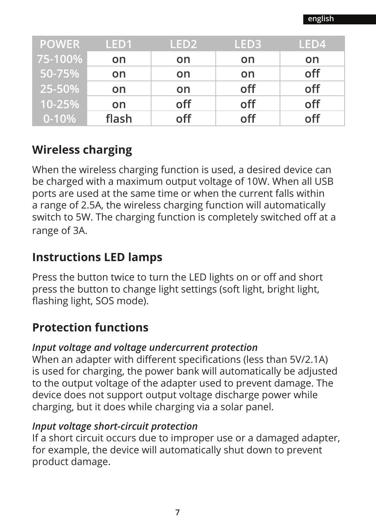| <b>POWER</b> | LED <sub>1</sub> | LED <sub>2</sub> | LED <sub>3</sub> | LED4 |
|--------------|------------------|------------------|------------------|------|
| 75-100%      | on               | on               | on               | on   |
| 50-75%       | on               | on               | on               | off  |
| 25-50%       | on               | on.              | off              | off  |
| 10-25%       | on.              | off              | off              | off  |
| $0 - 10%$    | flash            | off              | off              | off  |

### **Wireless charging**

When the wireless charging function is used, a desired device can be charged with a maximum output voltage of 10W. When all USB ports are used at the same time or when the current falls within a range of 2.5A, the wireless charging function will automatically switch to 5W. The charging function is completely switched off at a range of 3A.

### **Instructions LED lamps**

Press the button twice to turn the LED lights on or off and short press the button to change light settings (soft light, bright light, flashing light, SOS mode).

### **Protection functions**

### *Input voltage and voltage undercurrent protection*

When an adapter with different specifications (less than 5V/2.1A) is used for charging, the power bank will automatically be adjusted to the output voltage of the adapter used to prevent damage. The device does not support output voltage discharge power while charging, but it does while charging via a solar panel.

### *Input voltage short-circuit protection*

If a short circuit occurs due to improper use or a damaged adapter, for example, the device will automatically shut down to prevent product damage.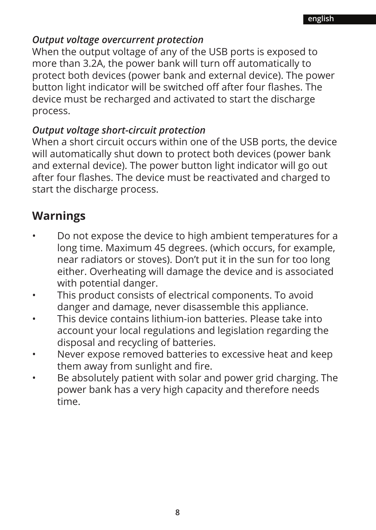#### *Output voltage overcurrent protection*

When the output voltage of any of the USB ports is exposed to more than 3.2A, the power bank will turn off automatically to protect both devices (power bank and external device). The power button light indicator will be switched off after four flashes. The device must be recharged and activated to start the discharge process.

### *Output voltage short-circuit protection*

When a short circuit occurs within one of the USB ports, the device will automatically shut down to protect both devices (power bank and external device). The power button light indicator will go out after four flashes. The device must be reactivated and charged to start the discharge process.

### **Warnings**

- Do not expose the device to high ambient temperatures for a long time. Maximum 45 degrees. (which occurs, for example, near radiators or stoves). Don't put it in the sun for too long either. Overheating will damage the device and is associated with potential danger.
- This product consists of electrical components. To avoid danger and damage, never disassemble this appliance.
- This device contains lithium-ion batteries. Please take into account your local regulations and legislation regarding the disposal and recycling of batteries.
- Never expose removed batteries to excessive heat and keep them away from sunlight and fire.
- Be absolutely patient with solar and power grid charging. The power bank has a very high capacity and therefore needs time.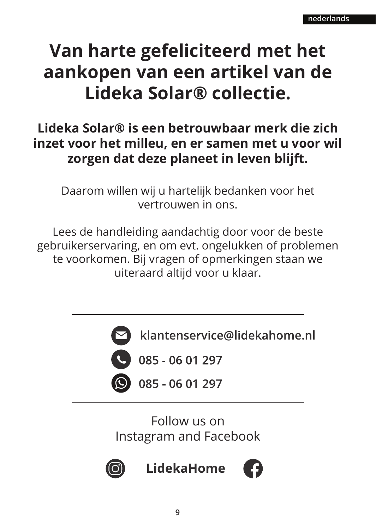### **Van harte gefeliciteerd met het aankopen van een artikel van de Lideka Solar® collectie.**

### **Lideka Solar® is een betrouwbaar merk die zich inzet voor het milleu, en er samen met u voor wil zorgen dat deze planeet in leven blijft.**

Daarom willen wij u hartelijk bedanken voor het vertrouwen in ons.

Lees de handleiding aandachtig door voor de beste gebruikerservaring, en om evt. ongelukken of problemen te voorkomen. Bij vragen of opmerkingen staan we uiteraard altijd voor u klaar.



klantenservice@lidekahome.nl

 $\begin{array}{|c|c|c|c|c|} \hline \text{~~085 - 06 01 297} \hline \end{array}$ 

085 - 06 01 297

Follow us on Instagram and Facebook



LidekaHome

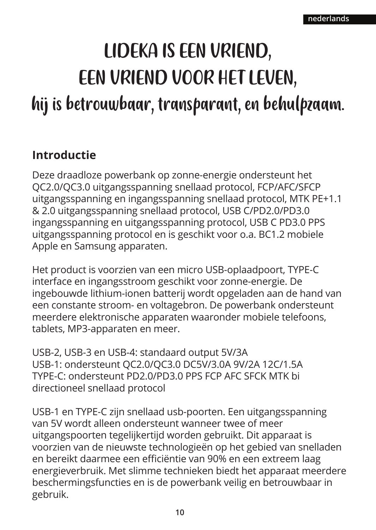# LIDEKA IS EEN VRIEND, EEN VRIEND VOOR HET LEVEN, hij is betrouwbaar, transparant, en behulpzaam.

### **Introductie**

Deze draadloze powerbank op zonne-energie ondersteunt het QC2.0/QC3.0 uitgangsspanning snellaad protocol, FCP/AFC/SFCP uitgangsspanning en ingangsspanning snellaad protocol, MTK PE+1.1 & 2.0 uitgangsspanning snellaad protocol, USB C/PD2.0/PD3.0 ingangsspanning en uitgangsspanning protocol, USB C PD3.0 PPS uitgangsspanning protocol en is geschikt voor o.a. BC1.2 mobiele Apple en Samsung apparaten.

Het product is voorzien van een micro USB-oplaadpoort, TYPE-C interface en ingangsstroom geschikt voor zonne-energie. De ingebouwde lithium-ionen batterij wordt opgeladen aan de hand van een constante stroom- en voltagebron. De powerbank ondersteunt meerdere elektronische apparaten waaronder mobiele telefoons, tablets, MP3-apparaten en meer.

USB-2, USB-3 en USB-4: standaard output 5V/3A USB-1: ondersteunt QC2.0/QC3.0 DC5V/3.0A 9V/2A 12C/1.5A TYPE-C: ondersteunt PD2.0/PD3.0 PPS FCP AFC SFCK MTK bi directioneel snellaad protocol

USB-1 en TYPE-C zijn snellaad usb-poorten. Een uitgangsspanning van 5V wordt alleen ondersteunt wanneer twee of meer uitgangspoorten tegelijkertijd worden gebruikt. Dit apparaat is voorzien van de nieuwste technologieën op het gebied van snelladen en bereikt daarmee een efficiëntie van 90% en een extreem laag energieverbruik. Met slimme technieken biedt het apparaat meerdere beschermingsfuncties en is de powerbank veilig en betrouwbaar in gebruik.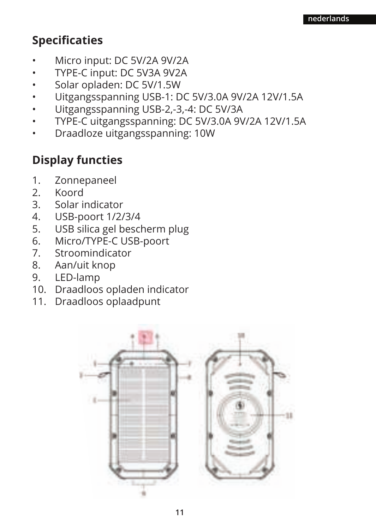### **Specificaties**

- Micro input: DC 5V/2A 9V/2A
- TYPE-C input: DC 5V3A 9V2A
- Solar opladen: DC 5V/1.5W
- Uitgangsspanning USB-1: DC 5V/3.0A 9V/2A 12V/1.5A
- Uitgangsspanning USB-2,-3,-4: DC 5V/3A
- TYPE-C uitgangsspanning: DC 5V/3.0A 9V/2A 12V/1.5A
- Draadloze uitgangsspanning: 10W

### **Display functies**

- 1. Zonnepaneel<br>2 Koord
- 2. Koord<br>3 Solar in
- 3. Solar indicator
- 4. USB-poort 1/2/3/4
- 5. USB silica gel bescherm plug<br>6. Micro/TYPE-C USB-poort
- Micro/TYPE-C USB-poort
- 7. Stroomindicator
- 8. Aan/uit knop
- 9. LED-lamp
- 10. Draadloos opladen indicator
- 11. Draadloos oplaadpunt

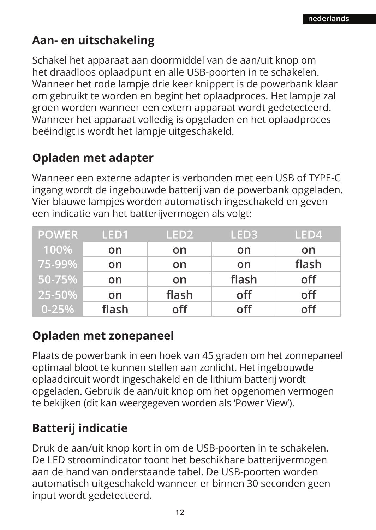### **Aan- en uitschakeling**

Schakel het apparaat aan doormiddel van de aan/uit knop om het draadloos oplaadpunt en alle USB-poorten in te schakelen. Wanneer het rode lampje drie keer knippert is de powerbank klaar om gebruikt te worden en begint het oplaadproces. Het lampje zal groen worden wanneer een extern apparaat wordt gedetecteerd. Wanneer het apparaat volledig is opgeladen en het oplaadproces beëindigt is wordt het lampje uitgeschakeld.

### **Opladen met adapter**

Wanneer een externe adapter is verbonden met een USB of TYPE-C ingang wordt de ingebouwde batterij van de powerbank opgeladen. Vier blauwe lampjes worden automatisch ingeschakeld en geven een indicatie van het batterijvermogen als volgt:

| <b>POWER</b> | LED <sub>1</sub> | LED <sub>2</sub> | LED3  | LED4  |
|--------------|------------------|------------------|-------|-------|
| 100%         | on               | on               | on    | on    |
| 75-99%       | on               | on               | on    | flash |
| 50-75%       | on.              | on               | flash | off   |
| 25-50%       | on.              | flash            | off   | off   |
| $0 - 25%$    | flash            | off              | off   | off   |

### **Opladen met zonepaneel**

Plaats de powerbank in een hoek van 45 graden om het zonnepaneel optimaal bloot te kunnen stellen aan zonlicht. Het ingebouwde oplaadcircuit wordt ingeschakeld en de lithium batterij wordt opgeladen. Gebruik de aan/uit knop om het opgenomen vermogen te bekijken (dit kan weergegeven worden als 'Power View').

### **Batterij indicatie**

Druk de aan/uit knop kort in om de USB-poorten in te schakelen. De LED stroomindicator toont het beschikbare batterijvermogen aan de hand van onderstaande tabel. De USB-poorten worden automatisch uitgeschakeld wanneer er binnen 30 seconden geen input wordt gedetecteerd.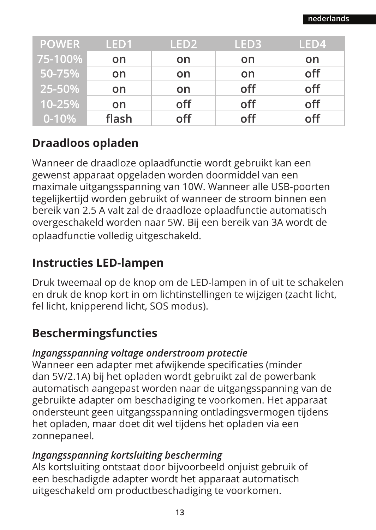| <b>POWER</b> | LED <sub>1</sub> | LED <sub>2</sub> | LED3' | LED4 |
|--------------|------------------|------------------|-------|------|
| 75-100%      | on               | on               | on    | on   |
| 50-75%       | on               | on               | on    | off  |
| 25-50%       | on               | on               | off   | off  |
| 10-25%       | on               | off              | off   | off  |
| $0 - 10%$    | flash            | off              | off   | off  |

### **Draadloos opladen**

Wanneer de draadloze oplaadfunctie wordt gebruikt kan een gewenst apparaat opgeladen worden doormiddel van een maximale uitgangsspanning van 10W. Wanneer alle USB-poorten tegelijkertijd worden gebruikt of wanneer de stroom binnen een bereik van 2.5 A valt zal de draadloze oplaadfunctie automatisch overgeschakeld worden naar 5W. Bij een bereik van 3A wordt de oplaadfunctie volledig uitgeschakeld.

### **Instructies LED-lampen**

Druk tweemaal op de knop om de LED-lampen in of uit te schakelen en druk de knop kort in om lichtinstellingen te wijzigen (zacht licht, fel licht, knipperend licht, SOS modus).

### **Beschermingsfuncties**

### *Ingangsspanning voltage onderstroom protectie*

Wanneer een adapter met afwijkende specificaties (minder dan 5V/2.1A) bij het opladen wordt gebruikt zal de powerbank automatisch aangepast worden naar de uitgangsspanning van de gebruikte adapter om beschadiging te voorkomen. Het apparaat ondersteunt geen uitgangsspanning ontladingsvermogen tijdens het opladen, maar doet dit wel tijdens het opladen via een zonnepaneel.

### *Ingangsspanning kortsluiting bescherming*

Als kortsluiting ontstaat door bijvoorbeeld onjuist gebruik of een beschadigde adapter wordt het apparaat automatisch uitgeschakeld om productbeschadiging te voorkomen.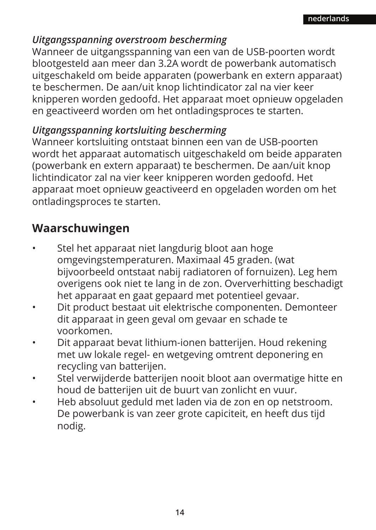### *Uitgangsspanning overstroom bescherming*

Wanneer de uitgangsspanning van een van de USB-poorten wordt blootgesteld aan meer dan 3.2A wordt de powerbank automatisch uitgeschakeld om beide apparaten (powerbank en extern apparaat) te beschermen. De aan/uit knop lichtindicator zal na vier keer knipperen worden gedoofd. Het apparaat moet opnieuw opgeladen en geactiveerd worden om het ontladingsproces te starten.

### *Uitgangsspanning kortsluiting bescherming*

Wanneer kortsluiting ontstaat binnen een van de USB-poorten wordt het apparaat automatisch uitgeschakeld om beide apparaten (powerbank en extern apparaat) te beschermen. De aan/uit knop lichtindicator zal na vier keer knipperen worden gedoofd. Het apparaat moet opnieuw geactiveerd en opgeladen worden om het ontladingsproces te starten.

### **Waarschuwingen**

- Stel het apparaat niet langdurig bloot aan hoge omgevingstemperaturen. Maximaal 45 graden. (wat bijvoorbeeld ontstaat nabij radiatoren of fornuizen). Leg hem overigens ook niet te lang in de zon. Oververhitting beschadigt het apparaat en gaat gepaard met potentieel gevaar.
- Dit product bestaat uit elektrische componenten. Demonteer dit apparaat in geen geval om gevaar en schade te voorkomen.
- Dit apparaat bevat lithium-ionen batterijen. Houd rekening met uw lokale regel- en wetgeving omtrent deponering en recycling van batterijen.
- Stel verwijderde batterijen nooit bloot aan overmatige hitte en houd de batterijen uit de buurt van zonlicht en vuur.
- Heb absoluut geduld met laden via de zon en op netstroom. De powerbank is van zeer grote capiciteit, en heeft dus tijd nodig.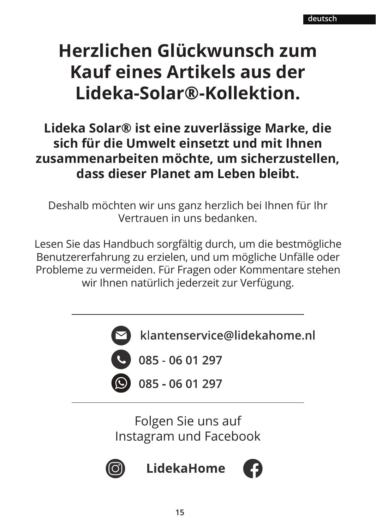### **Herzlichen Glückwunsch zum Kauf eines Artikels aus der Lideka-Solar®-Kollektion.**

### **Lideka Solar® ist eine zuverlässige Marke, die sich für die Umwelt einsetzt und mit Ihnen zusammenarbeiten möchte, um sicherzustellen, dass dieser Planet am Leben bleibt.**

Deshalb möchten wir uns ganz herzlich bei Ihnen für Ihr Vertrauen in uns bedanken.

Lesen Sie das Handbuch sorgfältig durch, um die bestmögliche Benutzererfahrung zu erzielen, und um mögliche Unfälle oder Probleme zu vermeiden. Für Fragen oder Kommentare stehen wir Ihnen natürlich jederzeit zur Verfügung.



klantenservice@lidekahome.nl

**4** 085 - 06 01 297

085 - 06 01 297

Folgen Sie uns auf Instagram und Facebook



LidekaHome

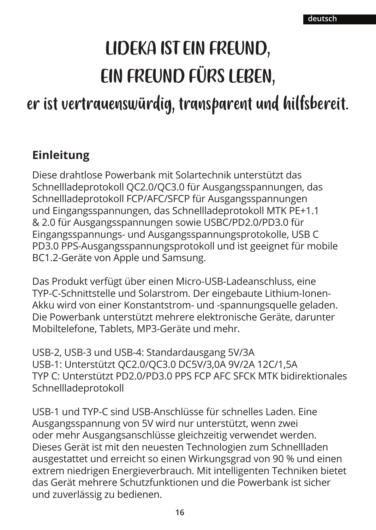## LIDEKA IST EIN FREUND, EIN FREUND FÜRS LEBEN,

### er ist vertrauenswürdig, transparent und hilfsbereit.

### **Einleitung**

Diese drahtlose Powerbank mit Solartechnik unterstützt das Schnellladeprotokoll QC2.0/QC3.0 für Ausgangsspannungen, das Schnellladeprotokoll FCP/AFC/SFCP für Ausgangsspannungen und Eingangsspannungen, das Schnellladeprotokoll MTK PE+1.1 & 2.0 für Ausgangsspannungen sowie USBC/PD2.0/PD3.0 für Eingangsspannungs- und Ausgangsspannungsprotokolle, USB C PD3.0 PPS-Ausgangsspannungsprotokoll und ist geeignet für mobile BC1.2-Geräte von Apple und Samsung.

Das Produkt verfügt über einen Micro-USB-Ladeanschluss, eine TYP-C-Schnittstelle und Solarstrom. Der eingebaute Lithium-Ionen-Akku wird von einer Konstantstrom- und -spannungsquelle geladen. Die Powerbank unterstützt mehrere elektronische Geräte, darunter Mobiltelefone, Tablets, MP3-Geräte und mehr.

USB-2, USB-3 und USB-4: Standardausgang 5V/3A USB-1: Unterstützt QC2.0/QC3.0 DC5V/3,0A 9V/2A 12C/1,5A TYP C: Unterstützt PD2.0/PD3.0 PPS FCP AFC SFCK MTK bidirektionales Schnellladeprotokoll

USB-1 und TYP-C sind USB-Anschlüsse für schnelles Laden. Eine Ausgangsspannung von 5V wird nur unterstützt, wenn zwei oder mehr Ausgangsanschlüsse gleichzeitig verwendet werden. Dieses Gerät ist mit den neuesten Technologien zum Schnellladen ausgestattet und erreicht so einen Wirkungsgrad von 90 % und einen extrem niedrigen Energieverbrauch. Mit intelligenten Techniken bietet das Gerät mehrere Schutzfunktionen und die Powerbank ist sicher und zuverlässig zu bedienen.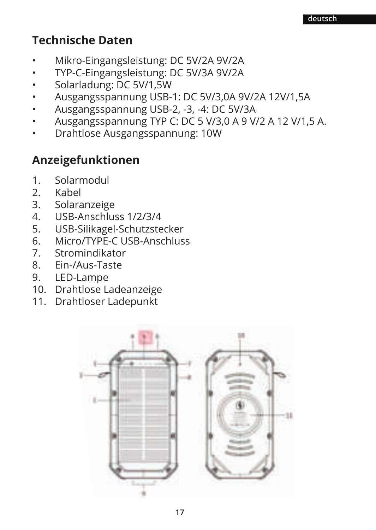### **Technische Daten**

- Mikro-Eingangsleistung: DC 5V/2A 9V/2A
- TYP-C-Eingangsleistung: DC 5V/3A 9V/2A
- Solarladung: DC 5V/1,5W
- Ausgangsspannung USB-1: DC 5V/3,0A 9V/2A 12V/1,5A
- Ausgangsspannung USB-2, -3, -4: DC 5V/3A
- Ausgangsspannung TYP C: DC 5 V/3,0 A 9 V/2 A 12 V/1,5 A.
- Drahtlose Ausgangsspannung: 10W

### **Anzeigefunktionen**

- 1. Solarmodul<br>2 Kabel
- 2. Kabel<br>3 Solara
- **Solaranzeige**
- 4. USB-Anschluss 1/2/3/4
- 5. USB-Silikagel-Schutzstecker<br>6. Micro/TYPE-C USB-Anschlus
- 6. Micro/TYPE-C USB-Anschluss<br>7 Stromindikator
- 7. Stromindikator<br>8 Fin-/Aus-Taste
- 8. Ein-/Aus-Taste
- 9. LED-Lampe
- 10. Drahtlose Ladeanzeige
- 11. Drahtloser Ladepunkt

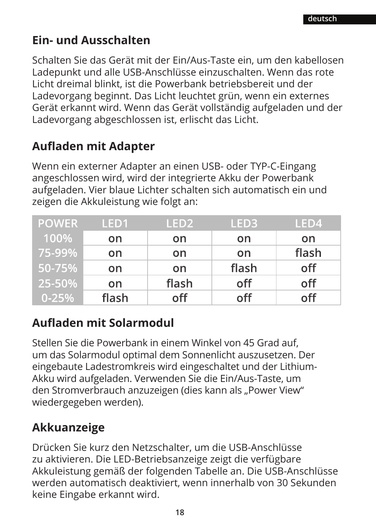### **Ein- und Ausschalten**

Schalten Sie das Gerät mit der Ein/Aus-Taste ein, um den kabellosen Ladepunkt und alle USB-Anschlüsse einzuschalten. Wenn das rote Licht dreimal blinkt, ist die Powerbank betriebsbereit und der Ladevorgang beginnt. Das Licht leuchtet grün, wenn ein externes Gerät erkannt wird. Wenn das Gerät vollständig aufgeladen und der Ladevorgang abgeschlossen ist, erlischt das Licht.

### **Aufladen mit Adapter**

Wenn ein externer Adapter an einen USB- oder TYP-C-Eingang angeschlossen wird, wird der integrierte Akku der Powerbank aufgeladen. Vier blaue Lichter schalten sich automatisch ein und zeigen die Akkuleistung wie folgt an:

| <b>POWER</b> | LED <sub>1</sub> | LED <sub>2</sub> | LED3  | LED4  |
|--------------|------------------|------------------|-------|-------|
| 100%         | on               | on               | on    | on    |
| 75-99%       | on               | on               | on    | flash |
| ' 50-75% ا   | on.              | on               | flash | off   |
| 25-50%       | on.              | flash            | off   | off   |
| $0 - 25%$    | flash            | off              | off   | off   |

### **Aufladen mit Solarmodul**

Stellen Sie die Powerbank in einem Winkel von 45 Grad auf, um das Solarmodul optimal dem Sonnenlicht auszusetzen. Der eingebaute Ladestromkreis wird eingeschaltet und der Lithium-Akku wird aufgeladen. Verwenden Sie die Ein/Aus-Taste, um den Stromverbrauch anzuzeigen (dies kann als "Power View" wiedergegeben werden).

### **Akkuanzeige**

Drücken Sie kurz den Netzschalter, um die USB-Anschlüsse zu aktivieren. Die LED-Betriebsanzeige zeigt die verfügbare Akkuleistung gemäß der folgenden Tabelle an. Die USB-Anschlüsse werden automatisch deaktiviert, wenn innerhalb von 30 Sekunden keine Eingabe erkannt wird.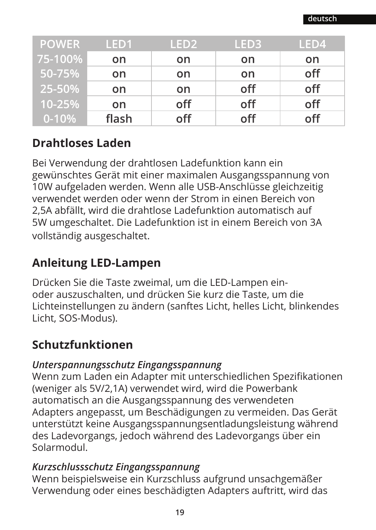| <b>POWER</b> | LED <sub>1</sub> | LED <sub>2</sub> | LED <sub>3</sub> | LED4 |
|--------------|------------------|------------------|------------------|------|
| 75-100%      | on               | on               | on               | on   |
| 50-75%       | on               | on               | on               | off  |
| 25-50%       | on               | on               | off              | off  |
| 10-25%       | on               | off              | off              | off  |
| $0 - 10%$    | flash            | off              | off              | off  |

### **Drahtloses Laden**

Bei Verwendung der drahtlosen Ladefunktion kann ein gewünschtes Gerät mit einer maximalen Ausgangsspannung von 10W aufgeladen werden. Wenn alle USB-Anschlüsse gleichzeitig verwendet werden oder wenn der Strom in einen Bereich von 2,5A abfällt, wird die drahtlose Ladefunktion automatisch auf 5W umgeschaltet. Die Ladefunktion ist in einem Bereich von 3A vollständig ausgeschaltet.

### **Anleitung LED-Lampen**

Drücken Sie die Taste zweimal, um die LED-Lampen einoder auszuschalten, und drücken Sie kurz die Taste, um die Lichteinstellungen zu ändern (sanftes Licht, helles Licht, blinkendes Licht, SOS-Modus).

### **Schutzfunktionen**

### *Unterspannungsschutz Eingangsspannung*

Wenn zum Laden ein Adapter mit unterschiedlichen Spezifikationen (weniger als 5V/2,1A) verwendet wird, wird die Powerbank automatisch an die Ausgangsspannung des verwendeten Adapters angepasst, um Beschädigungen zu vermeiden. Das Gerät unterstützt keine Ausgangsspannungsentladungsleistung während des Ladevorgangs, jedoch während des Ladevorgangs über ein Solarmodul.

### *Kurzschlussschutz Eingangsspannung*

Wenn beispielsweise ein Kurzschluss aufgrund unsachgemäßer Verwendung oder eines beschädigten Adapters auftritt, wird das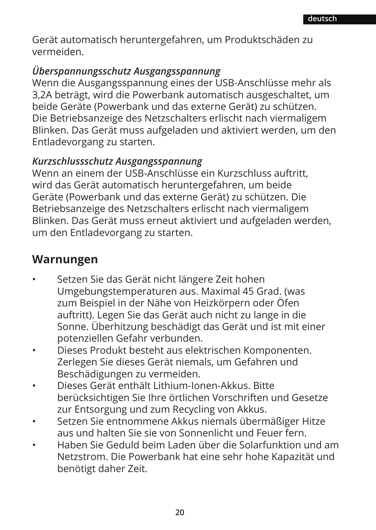Gerät automatisch heruntergefahren, um Produktschäden zu vermeiden.

#### *Überspannungsschutz Ausgangsspannung*

Wenn die Ausgangsspannung eines der USB-Anschlüsse mehr als 3,2A beträgt, wird die Powerbank automatisch ausgeschaltet, um beide Geräte (Powerbank und das externe Gerät) zu schützen. Die Betriebsanzeige des Netzschalters erlischt nach viermaligem Blinken. Das Gerät muss aufgeladen und aktiviert werden, um den Entladevorgang zu starten.

#### *Kurzschlussschutz Ausgangsspannung*

Wenn an einem der USB-Anschlüsse ein Kurzschluss auftritt, wird das Gerät automatisch heruntergefahren, um beide Geräte (Powerbank und das externe Gerät) zu schützen. Die Betriebsanzeige des Netzschalters erlischt nach viermaligem Blinken. Das Gerät muss erneut aktiviert und aufgeladen werden, um den Entladevorgang zu starten.

### **Warnungen**

- Setzen Sie das Gerät nicht längere Zeit hohen Umgebungstemperaturen aus. Maximal 45 Grad. (was zum Beispiel in der Nähe von Heizkörpern oder Öfen auftritt). Legen Sie das Gerät auch nicht zu lange in die Sonne. Überhitzung beschädigt das Gerät und ist mit einer potenziellen Gefahr verbunden.
- Dieses Produkt besteht aus elektrischen Komponenten. Zerlegen Sie dieses Gerät niemals, um Gefahren und Beschädigungen zu vermeiden.
- Dieses Gerät enthält Lithium-Ionen-Akkus. Bitte berücksichtigen Sie Ihre örtlichen Vorschriften und Gesetze zur Entsorgung und zum Recycling von Akkus.
- Setzen Sie entnommene Akkus niemals übermäßiger Hitze aus und halten Sie sie von Sonnenlicht und Feuer fern.
- Haben Sie Geduld beim Laden über die Solarfunktion und am Netzstrom. Die Powerbank hat eine sehr hohe Kapazität und benötigt daher Zeit.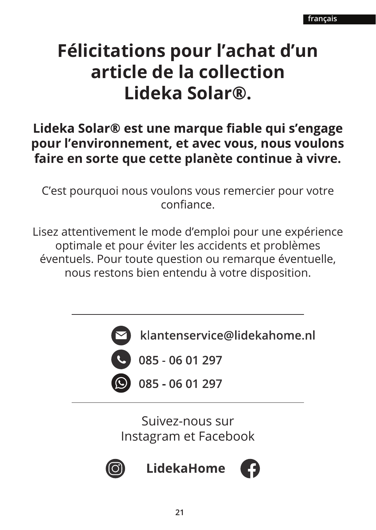### **Félicitations pour l'achat d'un article de la collection Lideka Solar®.**

### Lideka Solar® est une marque fiable qui s'engage **pour l'environnement, et avec vous, nous voulons faire en sorte que cette planète continue à vivre.**

C'est pourquoi nous voulons vous remercier pour votre

Lisez attentivement le mode d'emploi pour une expérience optimale et pour éviter les accidents et problèmes éventuels. Pour toute question ou remarque éventuelle, nous restons bien entendu à votre disposition.



klantenservice@lidekahome.nl

 $085 - 0601297$ 

085 - 06 01 297

Suivez-nous sur Instagram et Facebook



**LidekaHome** 

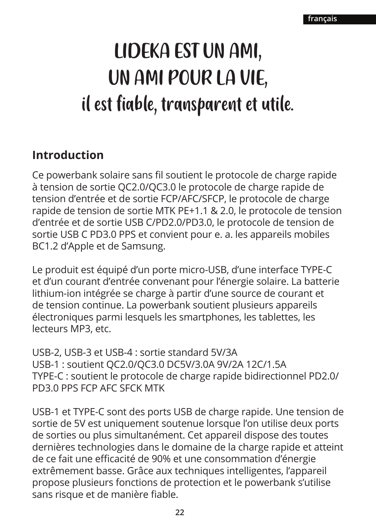## LIDEKA EST UN AMI, UN AMI POUR LA VIE, il est fiable, transparent et utile.

### **Introduction**

Ce powerbank solaire sans fil soutient le protocole de charge rapide à tension de sortie QC2.0/QC3.0 le protocole de charge rapide de tension d'entrée et de sortie FCP/AFC/SFCP, le protocole de charge rapide de tension de sortie MTK PE+1.1 & 2.0, le protocole de tension d'entrée et de sortie USB C/PD2.0/PD3.0, le protocole de tension de sortie USB C PD3.0 PPS et convient pour e. a. les appareils mobiles BC1.2 d'Apple et de Samsung.

Le produit est équipé d'un porte micro-USB, d'une interface TYPE-C et d'un courant d'entrée convenant pour l'énergie solaire. La batterie lithium-ion intégrée se charge à partir d'une source de courant et de tension continue. La powerbank soutient plusieurs appareils électroniques parmi lesquels les smartphones, les tablettes, les lecteurs MP3, etc.

USB-2, USB-3 et USB-4 : sortie standard 5V/3A USB-1 : soutient QC2.0/QC3.0 DC5V/3.0A 9V/2A 12C/1.5A TYPE-C : soutient le protocole de charge rapide bidirectionnel PD2.0/ PD3.0 PPS FCP AFC SFCK MTK

USB-1 et TYPE-C sont des ports USB de charge rapide. Une tension de sortie de 5V est uniquement soutenue lorsque l'on utilise deux ports de sorties ou plus simultanément. Cet appareil dispose des toutes dernières technologies dans le domaine de la charge rapide et atteint de ce fait une efficacité de 90% et une consommation d'énergie extrêmement basse. Grâce aux techniques intelligentes, l'appareil propose plusieurs fonctions de protection et le powerbank s'utilise sans risque et de manière fiable.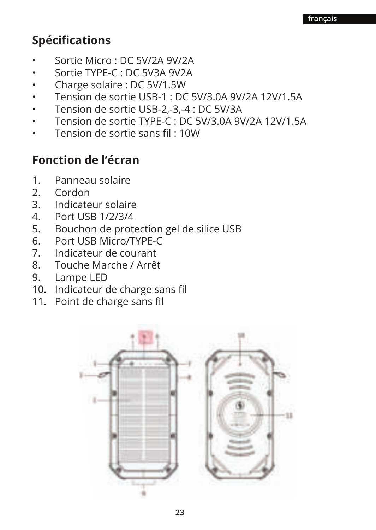### **Spécifications**

- Sortie Micro : DC 5V/2A 9V/2A
- Sortie TYPE-C : DC 5V3A 9V2A
- Charge solaire : DC 5V/1.5W
- Tension de sortie USB-1 : DC 5V/3.0A 9V/2A 12V/1.5A
- Tension de sortie USB-2,-3,-4 : DC 5V/3A
- Tension de sortie TYPE-C : DC 5V/3.0A 9V/2A 12V/1.5A
- Tension de sortie sans fil : 10W

### **Fonction de l'écran**

- 1. Panneau solaire<br>2. Cordon
- 2. Cordon<br>3 Indicate
- 3. Indicateur solaire
- 4. Port USB 1/2/3/4
- 5. Bouchon de protection gel de silice USB<br>6 Port USB Micro/TYPF-C
- 6. Port USB Micro/TYPE-C<br>7 Indicateur de courant
- 7. Indicateur de courant<br>8. Touche Marche / Arrê
- 8. Touche Marche / Arrêt
- 9. Lampe LED
- 10. Indicateur de charge sans fil
- 11. Point de charge sans fil

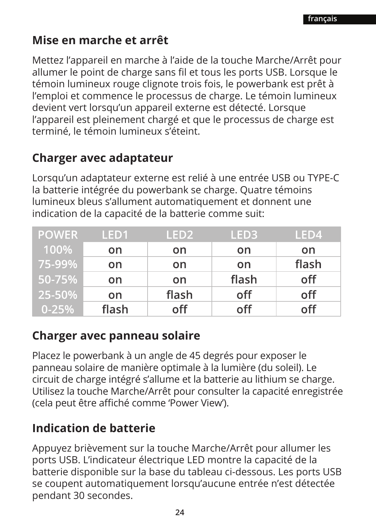### **Mise en marche et arrêt**

Mettez l'appareil en marche à l'aide de la touche Marche/Arrêt pour allumer le point de charge sans fil et tous les ports USB. Lorsque le témoin lumineux rouge clignote trois fois, le powerbank est prêt à l'emploi et commence le processus de charge. Le témoin lumineux devient vert lorsqu'un appareil externe est détecté. Lorsque l'appareil est pleinement chargé et que le processus de charge est terminé, le témoin lumineux s'éteint.

### **Charger avec adaptateur**

Lorsqu'un adaptateur externe est relié à une entrée USB ou TYPE-C la batterie intégrée du powerbank se charge. Quatre témoins lumineux bleus s'allument automatiquement et donnent une indication de la capacité de la batterie comme suit:

| <b>POWER</b> | LED <sub>1</sub> | LED <sub>2</sub> | LED3  | LED4  |
|--------------|------------------|------------------|-------|-------|
| 100%         | on               | on               | on    | on    |
| 75-99%       | on               | on               | on    | flash |
| 50-75%       | on.              | on               | flash | off   |
| 25-50%       | on.              | flash            | off   | off   |
| $0 - 25%$    | flash            | off              | off   | off   |

### **Charger avec panneau solaire**

Placez le powerbank à un angle de 45 degrés pour exposer le panneau solaire de manière optimale à la lumière (du soleil). Le circuit de charge intégré s'allume et la batterie au lithium se charge. Utilisez la touche Marche/Arrêt pour consulter la capacité enregistrée (cela peut être affiché comme 'Power View').

### **Indication de batterie**

Appuyez brièvement sur la touche Marche/Arrêt pour allumer les ports USB. L'indicateur électrique LED montre la capacité de la batterie disponible sur la base du tableau ci-dessous. Les ports USB se coupent automatiquement lorsqu'aucune entrée n'est détectée pendant 30 secondes.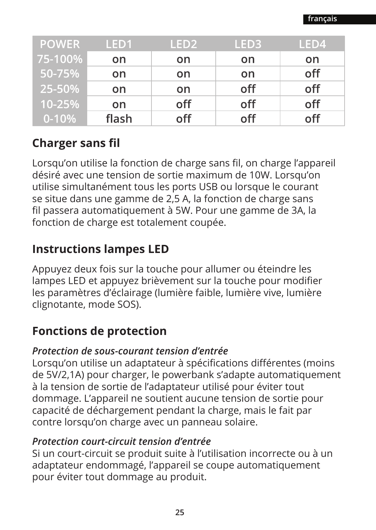| <b>POWER</b> | LED <sub>1</sub> | LED <sub>2</sub> | LED <sub>3</sub> | LED4 |
|--------------|------------------|------------------|------------------|------|
| 75-100%      | on               | on               | on               | on   |
| 50-75%       | on               | on               | on               | off  |
| 25-50%       | on               | on               | off              | off  |
| 10-25%       | on               | off              | off              | off  |
| $0 - 10%$    | flash            | off              | off              | off  |

### **Charger sans fil**

Lorsqu'on utilise la fonction de charge sans fil, on charge l'appareil désiré avec une tension de sortie maximum de 10W. Lorsqu'on utilise simultanément tous les ports USB ou lorsque le courant se situe dans une gamme de 2,5 A, la fonction de charge sans fil passera automatiquement à 5W. Pour une gamme de 3A, la fonction de charge est totalement coupée.

### **Instructions lampes LED**

Appuyez deux fois sur la touche pour allumer ou éteindre les lampes LED et appuyez brièvement sur la touche pour modifier les paramètres d'éclairage (lumière faible, lumière vive, lumière clignotante, mode SOS).

### **Fonctions de protection**

### *Protection de sous-courant tension d'entrée*

Lorsqu'on utilise un adaptateur à spécifications différentes (moins de 5V/2,1A) pour charger, le powerbank s'adapte automatiquement à la tension de sortie de l'adaptateur utilisé pour éviter tout dommage. L'appareil ne soutient aucune tension de sortie pour capacité de déchargement pendant la charge, mais le fait par contre lorsqu'on charge avec un panneau solaire.

### *Protection court-circuit tension d'entrée*

Si un court-circuit se produit suite à l'utilisation incorrecte ou à un adaptateur endommagé, l'appareil se coupe automatiquement pour éviter tout dommage au produit.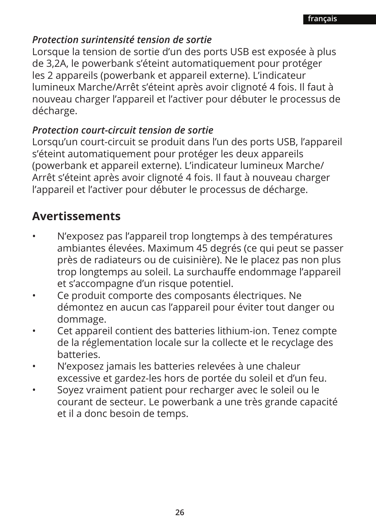### *Protection surintensité tension de sortie*

Lorsque la tension de sortie d'un des ports USB est exposée à plus de 3,2A, le powerbank s'éteint automatiquement pour protéger les 2 appareils (powerbank et appareil externe). L'indicateur lumineux Marche/Arrêt s'éteint après avoir clignoté 4 fois. Il faut à nouveau charger l'appareil et l'activer pour débuter le processus de décharge.

### *Protection court-circuit tension de sortie*

Lorsqu'un court-circuit se produit dans l'un des ports USB, l'appareil s'éteint automatiquement pour protéger les deux appareils (powerbank et appareil externe). L'indicateur lumineux Marche/ Arrêt s'éteint après avoir clignoté 4 fois. Il faut à nouveau charger l'appareil et l'activer pour débuter le processus de décharge.

### **Avertissements**

- N'exposez pas l'appareil trop longtemps à des températures ambiantes élevées. Maximum 45 degrés (ce qui peut se passer près de radiateurs ou de cuisinière). Ne le placez pas non plus trop longtemps au soleil. La surchauffe endommage l'appareil et s'accompagne d'un risque potentiel.
- Ce produit comporte des composants électriques. Ne démontez en aucun cas l'appareil pour éviter tout danger ou dommage.
- Cet appareil contient des batteries lithium-ion. Tenez compte de la réglementation locale sur la collecte et le recyclage des batteries.
- N'exposez jamais les batteries relevées à une chaleur excessive et gardez-les hors de portée du soleil et d'un feu.
- Soyez vraiment patient pour recharger avec le soleil ou le courant de secteur. Le powerbank a une très grande capacité et il a donc besoin de temps.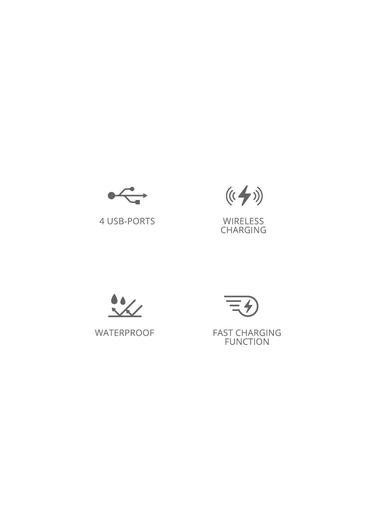

4 USB-PORTS



WIRELESS<br>CHARGING



WATERPROOF



FAST CHARGING<br>FUNCTION